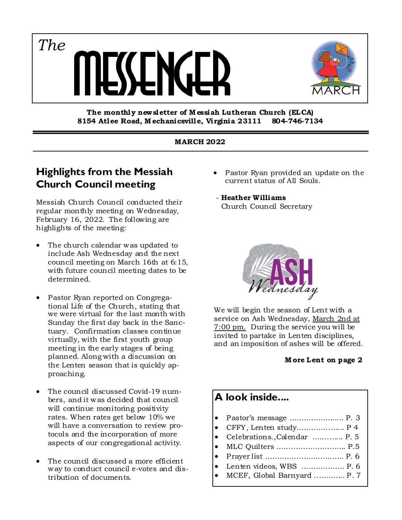

#### **The monthly new sletter of M essiah Lutheran Church (ELCA) 8154 Atlee Road, M echanicsville, Virginia 23111 804-746-7134**

#### **MARCH 2022**

### **Highlights from the Messiah Church Council meeting**

*The*

Messiah Church Council conducted their regular monthly meeting on Wednesday, February 16, 2022. The following are highlights of the meeting:

- The church calendar was updated to include Ash Wednesday and the next council meeting on March 16th at 6:15, with future council meeting dates to be determined.
- Pastor Ryan reported on Congregational Life of the Church, stating that we were virtual for the last month with Sunday the first day back in the Sanctuary. Confirmation classes continue virtually, with the first youth group meeting in the early stages of being planned. Along with a discussion on the Lenten season that is quickly approaching.
- The council discussed Covid-19 numbers, and it was decided that council will continue monitoring positivity rates. When rates get below 10% we will have a conversation to review protocols and the incorporation of more aspects of our congregational activity.
- The council discussed a more efficient way to conduct council e-votes and distribution of documents.

 Pastor Ryan provided an update on the current status of All Souls.

#### - **Heather Williams**

Church Council Secretary



We will begin the season of Lent with a service on Ash Wednesday, March 2nd at 7:00 pm. During the service you will be invited to partake in Lenten disciplines, and an imposition of ashes will be offered.

#### **M ore Lent on page 2**

### **A look inside....**

- Pastor's message ………………..... P. 3
- CFFY, Lenten study…………..…... P 4
- Celebrations.,Calendar …....…... P. 5
- MLC Quilters …….…………………. P.5
- Prayer list …………………...….….. P. 6
- Lenten videos, WBS ...…………… P. 6
- MCEF, Global Barnyard ..……….. P. 7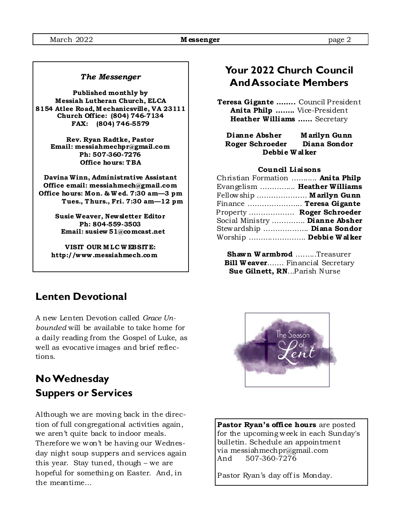#### *The Messenger*

**Published monthly by Messiah Lutheran Church, ELCA 8154 Atlee Road, M echanicsville, VA 23111 Church Off ice: (804) 746-7134 FAX: (804) 746-5579** 

> **Rev. Ryan Radtke, Pastor Email: messiahmechpr@gmail.com Ph: 507-360-7276 Office hours: TBA**

**Davina Winn, Administrative Assistant Office email: messiahmech@gmail.com Office hours: Mon. & W ed. 7:30 am—3 pm Tues., Thurs., Fri. 7:30 am—12 pm** 

> **Susie Weaver, Newsletter Editor Ph: 804-559-3503 Email: susiew 51@comcast.net**

**VISIT OUR M LC W EBSITE: http://www .messiahmech.com** 

### **Lenten Devotional**

A new Lenten Devotion called *Grace Unbounded* will be available to take home for a daily reading from the Gospel of Luke, as well as evocative images and brief reflections.

# **No Wednesday Suppers or Services**

Although we are moving back in the direction of full congregational activities again, we aren't quite back to indoor meals. Therefore we won't be having our Wednesday night soup suppers and services again this year. Stay tuned, though – we are hopeful for something on Easter. And, in the meantime…

## **Your 2022 Church Council And Associate Members**

**Teresa Gigante ……..** Council President **Anita Philp ……..** Vice-President **Heather Williams ……** Secretary

**Dianne Absher M arilyn Gunn Roger Schroeder Diana Sondor Debbie W alker** 

#### **Council Liaisons**

| Christian Formation  Anita Philp |  |
|----------------------------------|--|
| Evangelism  Heather Williams     |  |
| Fellowship  Marilyn Gunn         |  |
| Finance  Teresa Gigante          |  |
| Property  Roger Schroeder        |  |
| Social Ministry  Dianne Absher   |  |
| Stewardship  Diana Sondor        |  |
| Worship  Debbie Walker           |  |

**Shawn W armbrod** ….…..Treasurer **Bill W eaver.......** Financial Secretary  **Sue Gilnett, RN**...Parish Nurse



**Pastor Ryan's office hours** are posted for the upcoming week in each Sunday's bulletin. Schedule an appointment via messiahmechpr@gmail.com And 507-360-7276

Pastor Ryan's day off is Monday.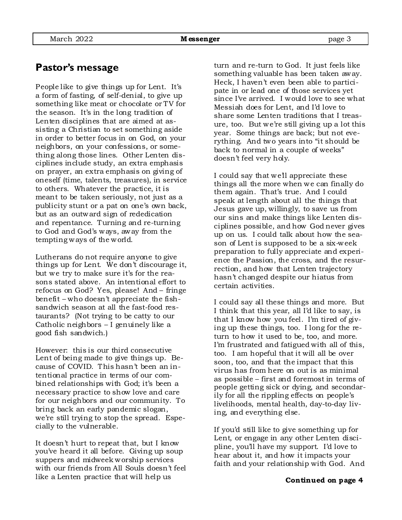People like to give things up for Lent. It's a form of fasting, of self-denial, to give up something like meat or chocolate or TV for the season. It's in the long tradition of Lenten disciplines that are aimed at assisting a Christian to set something aside in order to better focus in on God, on your neighbors, on your confessions, or something along those lines. Other Lenten disciplines include study, an extra emphasis on prayer, an extra emphasis on giving of oneself (time, talents, treasures), in service to others. Whatever the practice, it is meant to be taken seriously, not just as a publicity stunt or a pat on one's own back, but as an outward sign of rededication and repentance. Turning and re-turning to God and God's ways, away from the tempting ways of the world.

Lutherans do not require anyone to give things up for Lent. We don't discourage it, but we try to make sure it's for the reasons stated above. An intentional effort to refocus on God? Yes, please! And – fringe benefit – who doesn't appreciate the fishsandwich season at all the fast-food restaurants? (Not trying to be catty to our Catholic neighbors – I genuinely like a good fish sandwich.)

However: this is our third consecutive Lent of being made to give things up. Because of COVID. This hasn't been an intentional practice in terms of our combined relationships with God; it's been a necessary practice to show love and care for our neighbors and our community. To bring back an early pandemic slogan, we're still trying to stop the spread. Especially to the vulnerable.

It doesn't hurt to repeat that, but I know you've heard it all before. Giving up soup suppers and midweek worship services with our friends from All Souls doesn't feel like a Lenten practice that will help us

turn and re-turn to God. It just feels like something valuable has been taken away. Heck, I haven't even been able to participate in or lead one of those services yet since I've arrived. I would love to see what Messiah does for Lent, and I'd love to share some Lenten traditions that I treasure, too. But we're still giving up a lot this year. Some things are back; but not everything. And two years into "it should be back to normal in a couple of weeks" doesn't feel very holy.

I could say that we'll appreciate these things all the more when we can finally do them again. That's true. And I could speak at length about all the things that Jesus gave up, willingly, to save us from our sins and make things like Lenten disciplines possible, and how God never gives up on us. I could talk about how the season of Lent is supposed to be a six-week preparation to fully appreciate and experience the Passion, the cross, and the resurrection, and how that Lenten trajectory hasn't changed despite our hiatus from certain activities.

I could say all these things and more. But I think that this year, all I'd like to say, is that I know how you feel. I'm tired of giving up these things, too. I long for the return to how it used to be, too, and more. I'm frustrated and fatigued with all of this, too. I am hopeful that it will all be over soon, too, and that the impact that this virus has from here on out is as minimal as possible – first and foremost in terms of people getting sick or dying, and secondarily for all the rippling effects on people's livelihoods, mental health, day-to-day living, and everything else.

If you'd still like to give something up for Lent, or engage in any other Lenten discipline, you'll have my support. I'd love to hear about it, and how it impacts your faith and your relationship with God. And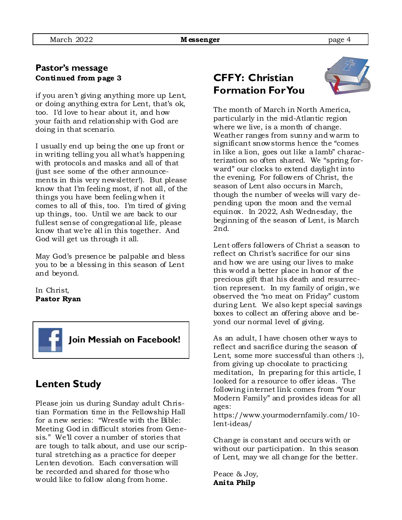### **Pastor's message Continued from page 3**

if you aren't giving anything more up Lent, or doing anything extra for Lent, that's ok, too. I'd love to hear about it, and how your faith and relationship with God are doing in that scenario.

I usually end up being the one up front or in writing telling you all what's happening with protocols and masks and all of that (just see some of the other announcements in this very newsletter!). But please know that I'm feeling most, if not all, of the things you have been feeling when it comes to all of this, too. I'm tired of giving up things, too. Until we are back to our fullest sense of congregational life, please know that we're all in this together. And God will get us through it all.

May God's presence be palpable and bless you to be a blessing in this season of Lent and beyond.

In Christ, **Pastor Ryan** 



### **Lenten Study**

Please join us during Sunday adult Christian Formation time in the Fellowship Hall for a new series: "Wrestle with the Bible: Meeting God in difficult stories from Genesis." We'll cover a number of stories that are tough to talk about, and use our scriptural stretching as a practice for deeper Lenten devotion. Each conversation will be recorded and shared for those who would like to follow along from home.

# **CFFY: Christian Formation For You**



The month of March in North America, particularly in the mid-Atlantic region where we live, is a month of change. Weather ranges from sunny and warm to significant snowstorms hence the "comes in like a lion, goes out like a lamb" characterization so often shared. We "spring forward" our clocks to extend daylight into the evening. For followers of Christ, the season of Lent also occurs in March, though the number of weeks will vary depending upon the moon and the vernal equinox. In 2022, Ash Wednesday, the beginning of the season of Lent, is March 2nd.

Lent offers followers of Christ a season to reflect on Christ's sacrifice for our sins and how we are using our lives to make this world a better place in honor of the precious gift that his death and resurrection represent. In my family of origin, we observed the "no meat on Friday" custom during Lent. We also kept special savings boxes to collect an offering above and beyond our normal level of giving.

As an adult, I have chosen other ways to reflect and sacrifice during the season of Lent, some more successful than others :), from giving up chocolate to practicing meditation, In preparing for this article, I looked for a resource to offer ideas. The following internet link comes from "Your Modern Family" and provides ideas for all ages:

https://www.yourmodernfamily.com/10 lent-ideas/

Change is constant and occurs with or without our participation. In this season of Lent, may we all change for the better.

Peace & Joy, **Anita Philp**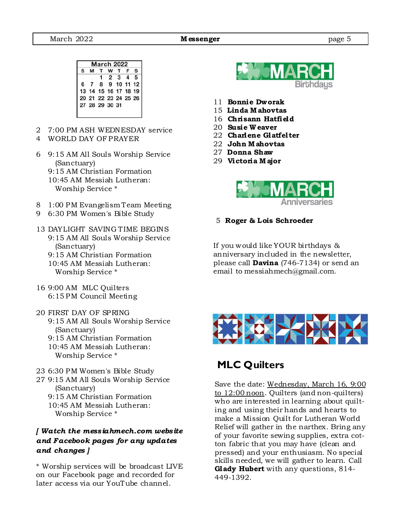|   | <b>March 2022</b> |                      |         |         |  |              |  |
|---|-------------------|----------------------|---------|---------|--|--------------|--|
| s | M                 |                      | T W T F |         |  | S            |  |
|   |                   |                      |         | 2 3 4 5 |  |              |  |
| 6 |                   |                      |         |         |  | 8 9 10 11 12 |  |
|   |                   | 13 14 15 16 17 18 19 |         |         |  |              |  |
|   |                   | 20 21 22 23 24 25 26 |         |         |  |              |  |
|   |                   | 27 28 29 30 31       |         |         |  |              |  |
|   |                   |                      |         |         |  |              |  |

- 2 7:00 PM ASH WEDNESDAY service
- 4 WORLD DAY OF PRAYER
- 6 9:15 AM All Souls Worship Service (Sanctuary)
	- 9:15 AM Christian Formation 10:45 AM Messiah Lutheran: Worship Service \*
- 8 1:00 PM Evangelism Team Meeting
- 9 6:30 PM Women's Bible Study
- 13 DAYLIGHT SAVING TIME BEGINS 9:15 AM All Souls Worship Service (Sanctuary)
	- 9:15 AM Christian Formation
	- 10:45 AM Messiah Lutheran: Worship Service \*
- 16 9:00 AM MLC Quilters 6:15 PM Council Meeting
- 20 FIRST DAY OF SPRING
	- 9:15 AM All Souls Worship Service (Sanctuary)
	- 9:15 AM Christian Formation
	- 10:45 AM Messiah Lutheran: Worship Service \*
- 23 6:30 PM Women's Bible Study
- 27 9:15 AM All Souls Worship Service (Sanctuary)
	- 9:15 AM Christian Formation 10:45 AM Messiah Lutheran:
		- Worship Service \*

#### *[ Watch the mess iahmech.com webs ite and Facebook pages for any updates and changes ]*

\* Worship services will be broadcast LIVE on our Facebook page and recorded for later access via our YouTube channel.



- 11 **Bonnie Dworak**
- 15 **Linda M ahovtas**
- 16 **Chrisann Hatfield**
- 20 **Susie W eaver**
- 22 **Charlene Glatfelter**
- 22 **John M ahovtas**
- 27 **Donna Shaw**
- 29 **Victoria M ajor**



#### 5 **Roger & Lois Schroeder**

If you would like YOUR birthdays & anniversary included in the newsletter, please call **Davina** (746-7134) or send an email to messiahmech@gmail.com.



### **MLC Quilters**

Save the date: Wednesday, March 16, 9:00 to 12:00 noon. Quilters (and non-quilters) who are interested in learning about quilting and using their hands and hearts to make a Mission Quilt for Lutheran World Relief will gather in the narthex. Bring any of your favorite sewing supplies, extra cotton fabric that you may have (clean and pressed) and your enthusiasm. No special skills needed, we will gather to learn. Call **Glady Hubert** with any questions, 814- 449-1392.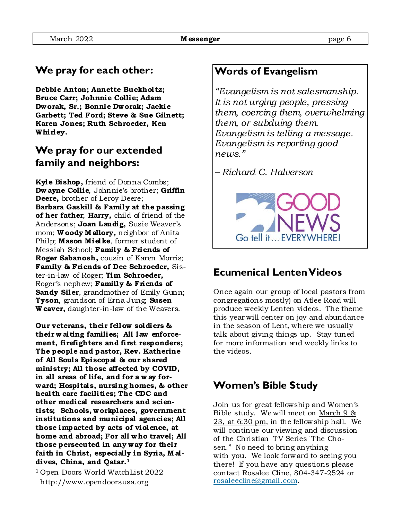# **We pray for each other:**

**Debbie Anton; Annette Buckholtz; Bruce Carr; Johnnie Collie; Adam Dworak, Sr.; Bonnie Dworak; Jackie Garbett; Ted Ford; Steve & Sue Gilnett; Karen Jones; Ruth Schroeder, Ken Whirley.** 

# **We pray for our extended family and neighbors:**

**Kyle Bishop ,** friend of Donna Combs; **Dw ayne Collie**, Johnnie's brother; **Griffin Deere,** brother of Leroy Deere; **Barbara Gaskill & Family at the passing of her father**; **Harry,** child of friend of the Andersons; **Joan Laudig,** Susie Weaver's mom; **W oody M allory,** neighbor of Anita Philp; **Mason Mielke**, former student of Messiah School; **Family & Friends of Roger Sabanosh,** cousin of Karen Morris; **Family & Friends of Dee Schroeder,** Sister-in-law of Roger; **Tim Schroeder,**  Roger's nephew; **Familly & Friends of Sandy Siler**, grandmother of Emily Gunn; **Tyson**, grandson of Erna Jung; **Susen W eaver,** daughter-in-law of the Weavers.

**Our veterans, their fellow soldiers & their w aiting families; All law enforcement, firefighters and first responders; The people and pastor, Rev. Katherine of All Soul s Episcopal & our shared ministry; All those affected by COVID, in all areas of life, and for a w ay forward; Hospital s, nursing homes, & other health care facilities; The CDC and other medical researchers and scientists; Schools, workplaces, government institutions and municipal agencies; All those impacted by acts of violence, at home and abroad; For all who travel; All those persecuted in any way for their faith in Christ, especially in Syria, M al dives, China, and Qatar.1** 

**<sup>1</sup>**Open Doors World WatchList 2022 http://www.opendoorsusa.org

# **Words of Evangelism**

*"Evangelism is not salesmanship. It is not urging people, pressing them, coercing them, overwhelming them, or subduing them. Evangelism is telling a message. Evangelism is reporting good news."* 

*– Richard C. Halverson*



### **Ecumenical Lenten Videos**

Once again our group of local pastors from congregations mostly) on Atlee Road will produce weekly Lenten videos. The theme this year will center on joy and abundance in the season of Lent, where we usually talk about giving things up. Stay tuned for more information and weekly links to the videos.

### **Women's Bible Study**

Join us for great fellowship and Women's Bible study. We will meet on March 9 & 23, at 6:30 pm, in the fellowship hall. We will continue our viewing and discussion of the Christian TV Series "The Chosen." No need to bring anything with you. We look forward to seeing you there! If you have any questions please contact Rosalee Cline, 804-347-2524 or rosaleecline@gmail.com.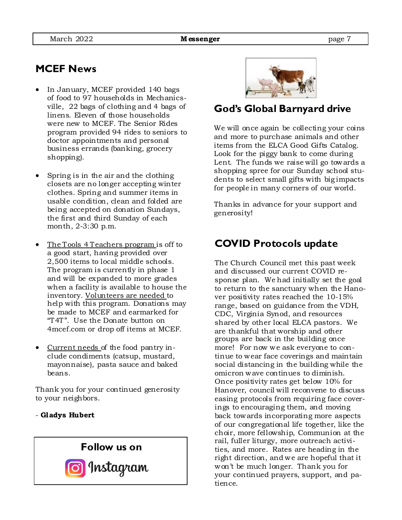## **MCEF News**

- In January, MCEF provided 140 bags of food to 97 households in Mechanicsville, 22 bags of clothing and 4 bags of linens. Eleven of those households were new to MCEF. The Senior Rides program provided 94 rides to seniors to doctor appointments and personal business errands (banking, grocery shopping).
- Spring is in the air and the clothing closets are no longer accepting winter clothes. Spring and summer items in usable condition, clean and folded are being accepted on donation Sundays, the first and third Sunday of each month, 2-3:30 p.m.
- The Tools 4 Teachers program is off to a good start, having provided over 2,500 items to local middle schools. The program is currently in phase 1 and will be expanded to more grades when a facility is available to house the inventory. Volunteers are needed to help with this program. Donations may be made to MCEF and earmarked for "T4T". Use the Donate button on 4mcef.com or drop off items at MCEF.
- Current needs of the food pantry include condiments (catsup, mustard, mayonnaise), pasta sauce and baked beans.

Thank you for your continued generosity to your neighbors.

#### - **Gladys Hubert**





### **God's Global Barnyard drive**

We will once again be collecting your coins and more to purchase animals and other items from the ELCA Good Gifts Catalog. Look for the piggy bank to come during Lent. The funds we raise will go towards a shopping spree for our Sunday school students to select small gifts with big impacts for people in many corners of our world.

Thanks in advance for your support and generosity!

### **COVID Protocols update**

The Church Council met this past week and discussed our current COVID response plan. We had initially set the goal to return to the sanctuary when the Hanover positivity rates reached the 10-15% range, based on guidance from the VDH, CDC, Virginia Synod, and resources shared by other local ELCA pastors. We are thankful that worship and other groups are back in the building once more! For now we ask everyone to continue to wear face coverings and maintain social distancing in the building while the omicron wave continues to diminish. Once positivity rates get below 10% for Hanover, council will reconvene to discuss easing protocols from requiring face coverings to encouraging them, and moving back towards incorporating more aspects of our congregational life together, like the choir, more fellowship, Communion at the rail, fuller liturgy, more outreach activities, and more. Rates are heading in the right direction, and we are hopeful that it won't be much longer. Thank you for your continued prayers, support, and patience.